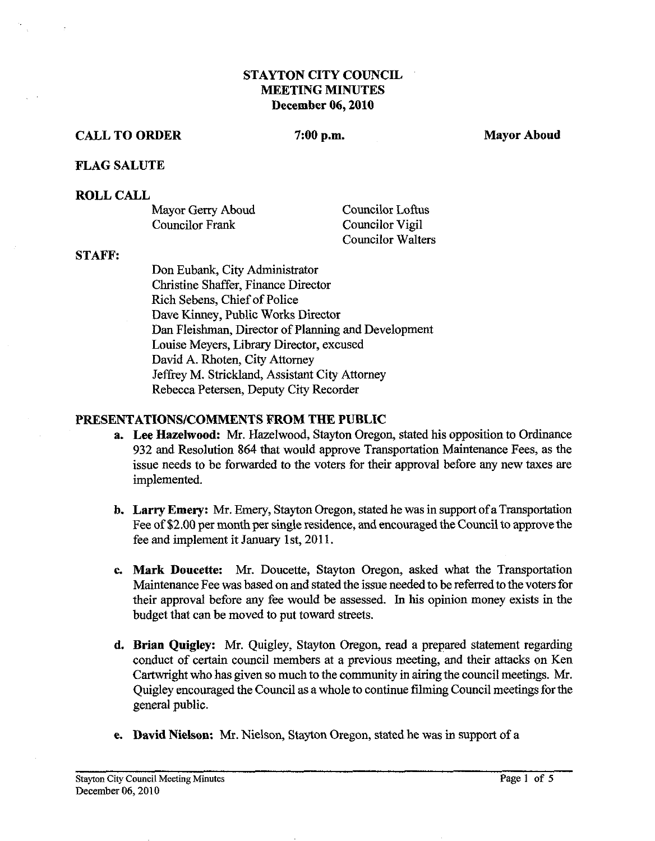# **STAYTON CITY COUNCIL MEETING MINUTES December 06,2010**

## **CALL TO ORDER 7:00 p.m. Mayor Aboud Mayor Aboud About About About About About About About About About About About About About About About About About About About About About About About About About About About About About**

#### **FLAG SALUTE**

#### **ROLL CALL**

| Mayor Gerry Aboud | Councilor Loftus         |
|-------------------|--------------------------|
| Councilor Frank   | Councilor Vigil          |
|                   | <b>Councilor Walters</b> |

### **STAFF:**

Don Eubank, City Administrator Christine Shaffer, Finance Director Rich Sebens, Chief of Police Dave Kinney, Public Works Director Dan Fleishman, Director of Planning and Development Louise Meyers, Library Director, excused David A. Rhoten, City Attomey Jeffrey M. Strickland, Assistant City Attomey Rebecca Petersen, Deputy City Recorder

#### **PRESENTATIONS/COMMENTS FROM THE PUBLIC**

- **a. Lee Hazelwood: Mr.** Hazelwood, Stayton Oregon, stated his opposition to Ordinance 932 and Resolution 864 that would approve Transportation Maintenance Fees, as the issue needs to be forwarded to the voters for their approval before any new taxes are implemented.
- **b.** Larry Emery: Mr. Emery, Stayton Oregon, stated he was in support of a Transportation Fee of \$2.00 per month per single residence, and encouraged the Council to approve the fee and implement it January 1st, 2011.
- **c. Mark Doueette:** Mr. Doucette, Stayton Oregon, asked what the Transportation Maintenance Fee was based on and stated the issue needed to be referred to the voters for their approval before any fee would be assessed. In his opinion money exists in the budget that can be moved to put toward streets.
- **d. Brian Quigley: Mr.** Quigley, Stayton Oregon, read a prepared statement regarding conduct of certain council members at a previous meeting, and their attacks on Ken Cartwright who has given so much to the community in airing the council meetings. Mr. Quigley encouraged the Council as a whole to continue filming Council meetings for the general public.
- **e. David Nielson: Mr.** Nielson, Stayton Oregon, stated he was in support of a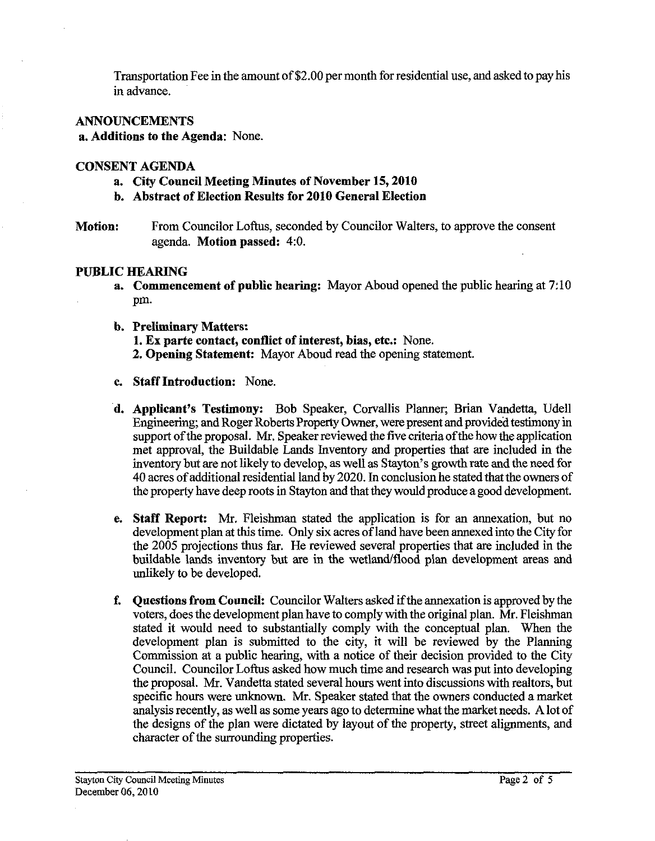Transportation Fee in the amount of \$2.00 per month for residential use, and asked to pay his in advance.

# **ANNOUNCEMENTS**

# **a. Additions to the Agenda:** None.

# **CONSENT AGENDA**

- **a. City Council Meeting Minutes of November 15,2010**
- **b. Abstract of Election Results for 2010 General Election**
- **Motion:** From Councilor Loftus, seconded by Councilor Walters, to approve the consent agenda. **Motion passed:** 4:O.

# **PUBLIC HEARING**

- **a.** Commencement of public hearing: Mayor Aboud opened the public hearing at 7:10 pm.
- **b. Preliminary Matters: 1. Ex parte contact, conflict of interest, bias, etc.:** None. **2. Opening Statement:** Mayor Aboud read the opening statement.
- **c. Staff Introduction:** None.
- **d. Applicant's Testimony:** Bob Speaker, Corvallis Planner; Brian Vandetta, Udell Engineering; and Roger Roberts Property Owner, were present and provided testimony in support of the proposal. Mr. Speaker reviewed the five criteria of the how the application met approval, the Buildable Lands Inventory and properties that are included in the inventory but are not likely to develop, as well as Stayton's growth rate and the need for 40 acres of additional residential land by 2020. In conclusion he stated that the owners of the property have deep roots in Stayton and that they would produce a good development.
- **c. Staff Report: Mr.** Fleishman stated the application is for an annexation, but no development plan at this time. Only six acres of land have been annexed into the City for the 2005 projections thus far. He reviewed several properties that are included in the buildable lands inventory but are in the wetland/flood plan development areas and unlikely to be developed.
- **f. Questions from Council:** Councilor Walters asked if the annexation is approved by the voters, does the development plan have to comply with the original plan. Mr. Fleishman stated it would need to substantially comply with the conceptual plan. When the development plan is submitted to the city, it will be reviewed by the Planning Commission at a public hearing, with a notice of their decision provided to the City Council. Councilor Loftus asked how much time and research was put into developing the proposal. Mr. Vandetta stated several hours went into discussions with realtors, but specific hours were unknown. Mr. Speaker stated that the owners conducted a market analysis recently, as well as some years ago to determine what the market needs. **A** lot of the designs of the plan were dictated by layout of the property, street alignments, and character of the surrounding properties.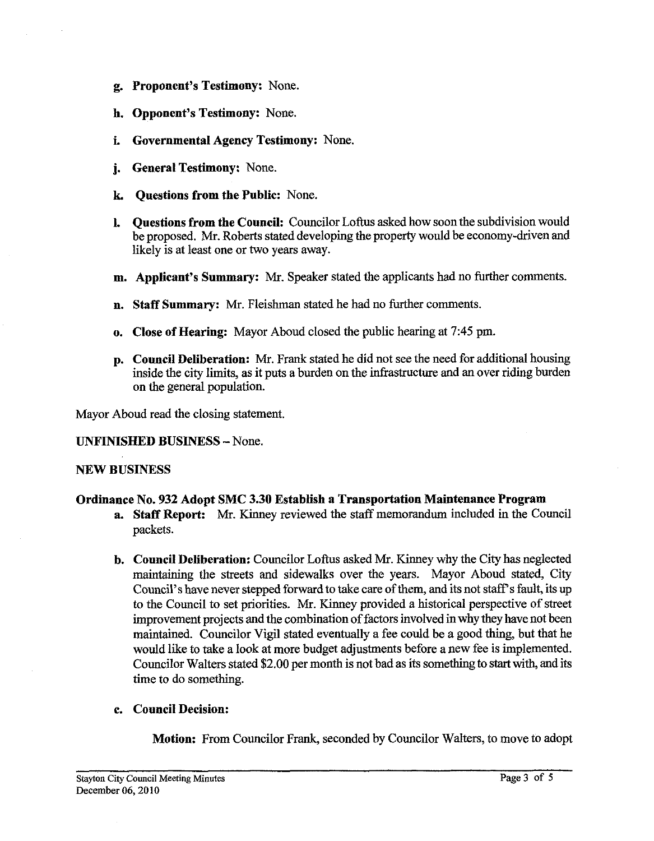- **g. Proponent's Testimony:** None.
- **h. Opponent's Testimony:** None.
- **i. Governmental Agency Testimony:** None.
- **j. General Testimony:** None.
- **k Questions from the Public:** None.
- **1. Questions from the Council:** Councilor Loftus asked how soon the subdivision would be proposed. Mr. Roberts stated developing the property would be economy-driven and likely is at least one or two years away.
- **m. Applicant's Summary: Mr.** Speaker stated the applicants had no further comments.
- **n. Staff Summary: Mr.** Fleishman stated he had no further comments.
- **o. Close of Hearing:** Mayor Aboud closed the public hearing at 7:45 pm.
- **p. Council Deliberation:** Mr. Frank stated he did not see the need for additional housing inside the city limits, as it puts a burden on the infrastructure and an over riding burden on the general population.

Mayor Aboud read the closing statement.

## **UNFINISHED BUSINESS** -None.

#### **NEW BUSINESS**

## **Ordinance No. 932 Adopt SMC 3.30 Establish a Transportation Maintenance Program**

- **a. Staff Report: Mr.** Kinney reviewed the staff memorandum included in the Council packets.
- **b. Council Deliberation:** Councilor Loftus asked Mr. Kinney why the City has neglected maintaining the streets and sidewalks over the years. Mayor Aboud stated, City Council's have never stepped forward to take care of them, and its not staff's fault, its up to the Council to set priorities. Mr. Kinney provided a historical perspective of street improvement projects and the combination of factors involved in why they have not been maintained. Councilor Vigil stated eventually a fee could be a good thing, but that he would like to take a look at more budget adjustments before a new fee is implemented. Councilor Walters stated \$2.00 per month is not bad as its something to start with, and its time to do something.

## **c. Council Decision:**

**Motion:** From Councilor **Frank,** seconded by Councilor Walters, to move to adopt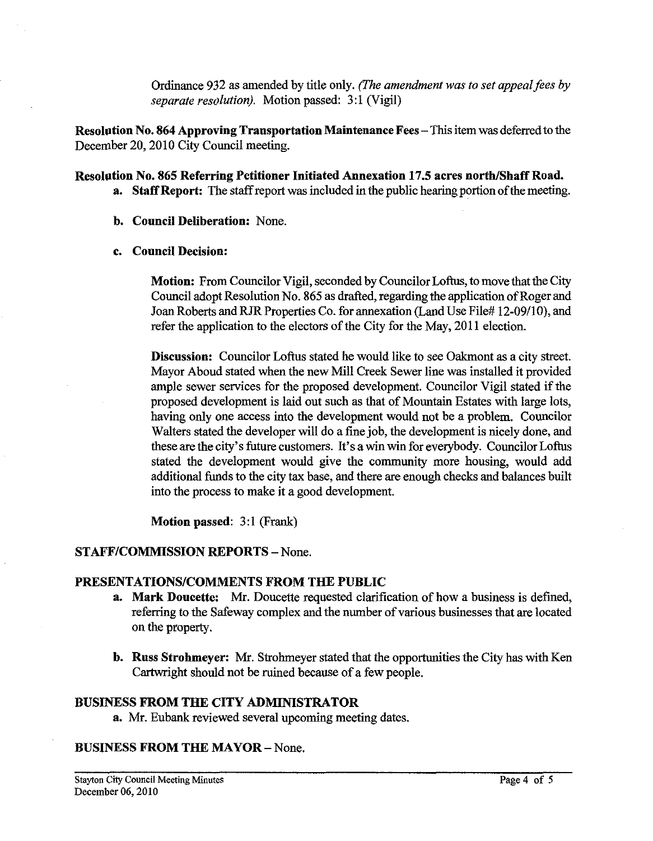Ordinance 932 as amended by title only. *(The amendment was to set appeal fees by separate resolution).* Motion passed: **3:** 1 (Vigil)

**Resolution No. 864 Approving Transportation Maintenance Fees-** This item was deferred to the December 20,2010 City Council meeting.

# Resolution No. 865 Referring Petitioner Initiated Annexation 17.5 acres north/Shaff Road.

- **a. Staff Report:** The staff report was included in the public hearing portion of the meeting.
- **b. Council Deliberation:** None.

# **c. Council Decision:**

**Motion:** From Councilor Vigil, seconded by Councilor Loftus, to move that the City Council adopt Resolution No. 865 as drafted, regarding the application of Roger and Joan Roberts and RJR Properties Co. for annexation (Land Use File# 12-09/10), and refer the application to the electors of the City for the May, 2011 election.

**Discussion:** Councilor Loftus stated he would like to see Oakmont as a city street. Mayor Aboud stated when the new Mill Creek Sewer line was installed it provided ample sewer services for the proposed development. Councilor Vigil stated if the proposed development is laid out such as that of Mountain Estates with large lots, having only one access into the development would not be a problem. Councilor Walters stated the developer will do a fine job, the development is nicely done, and these are the city's future customers. It's a win win for everybody. Councilor Loftus stated the development would give the community more housing, would add additional funds to the city tax base, and there are enough checks and balances built into the process to make it a good development.

**Motion passed: 3:l** (Frank)

# **STAFF/COMMISSION REPORTS - None.**

## **PRESENTATIONSICOMMENTS FROM THE PUBLIC**

- **a. Mark Doucette:** Mr. Doucette requested clarification of how a business is defined, referring to the Safeway complex and the number of various businesses that are located on the property.
- **b. Russ Strohmeyer: Mr.** Strohmeyer stated that the opportunities the City has with Ken Cartwright should not be ruined because of a few people.

# **BUSINESS FROM THE CITY ADMINISTRATOR**

**a. Mr.** Eubank reviewed several upcoming meeting dates.

# **BUSINESS FROM THE MAYOR** - None.